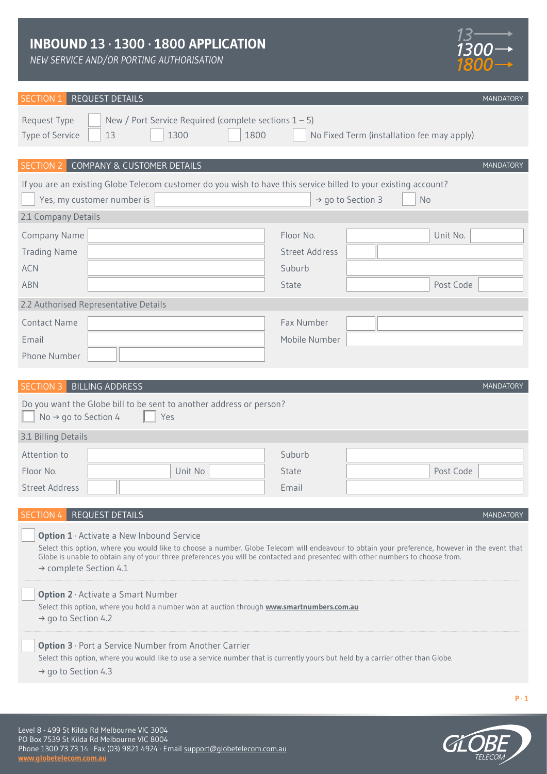*NEW SERVICE AND/OR PORTING AUTHORISATION*



**MANDATORY** 

# SECTION 1 REQUEST DETAILS

| New / Port Service Required (complete sections $1 - 5$ )<br>Request Type<br>1300<br>1800<br>Type of Service<br>13                                                                                                                                                                                                                                                        | No Fixed Term (installation fee may apply) |  |  |  |  |
|--------------------------------------------------------------------------------------------------------------------------------------------------------------------------------------------------------------------------------------------------------------------------------------------------------------------------------------------------------------------------|--------------------------------------------|--|--|--|--|
| SECTION 2 COMPANY & CUSTOMER DETAILS                                                                                                                                                                                                                                                                                                                                     | MANDATORY                                  |  |  |  |  |
| If you are an existing Globe Telecom customer do you wish to have this service billed to your existing account?<br>Yes, my customer number is<br>$\rightarrow$ go to Section 3<br><b>No</b>                                                                                                                                                                              |                                            |  |  |  |  |
| 2.1 Company Details                                                                                                                                                                                                                                                                                                                                                      |                                            |  |  |  |  |
| Company Name                                                                                                                                                                                                                                                                                                                                                             | Unit No.<br>Floor No.                      |  |  |  |  |
| <b>Trading Name</b>                                                                                                                                                                                                                                                                                                                                                      | <b>Street Address</b>                      |  |  |  |  |
| <b>ACN</b>                                                                                                                                                                                                                                                                                                                                                               | Suburb                                     |  |  |  |  |
| <b>ABN</b>                                                                                                                                                                                                                                                                                                                                                               | Post Code<br>State                         |  |  |  |  |
| 2.2 Authorised Representative Details                                                                                                                                                                                                                                                                                                                                    |                                            |  |  |  |  |
| <b>Contact Name</b>                                                                                                                                                                                                                                                                                                                                                      | Fax Number                                 |  |  |  |  |
| Email                                                                                                                                                                                                                                                                                                                                                                    | Mobile Number                              |  |  |  |  |
| Phone Number                                                                                                                                                                                                                                                                                                                                                             |                                            |  |  |  |  |
|                                                                                                                                                                                                                                                                                                                                                                          |                                            |  |  |  |  |
| <b>BILLING ADDRESS</b><br><b>SECTION 3</b>                                                                                                                                                                                                                                                                                                                               | MANDATORY                                  |  |  |  |  |
| Do you want the Globe bill to be sent to another address or person?<br>No $\rightarrow$ go to Section 4<br>Yes                                                                                                                                                                                                                                                           |                                            |  |  |  |  |
| 3.1 Billing Details                                                                                                                                                                                                                                                                                                                                                      |                                            |  |  |  |  |
| Attention to                                                                                                                                                                                                                                                                                                                                                             | Suburb                                     |  |  |  |  |
| Floor No.<br>Unit No                                                                                                                                                                                                                                                                                                                                                     | Post Code<br>State                         |  |  |  |  |
| <b>Street Address</b>                                                                                                                                                                                                                                                                                                                                                    | Email                                      |  |  |  |  |
|                                                                                                                                                                                                                                                                                                                                                                          |                                            |  |  |  |  |
| SECTION 4 REQUEST DETAILS                                                                                                                                                                                                                                                                                                                                                | MANDATORY                                  |  |  |  |  |
| <b>Option 1</b> Activate a New Inbound Service<br>Select this option, where you would like to choose a number. Globe Telecom will endeavour to obtain your preference, however in the event that<br>Globe is unable to obtain any of your three preferences you will be contacted and presented with other numbers to choose from.<br>$\rightarrow$ complete Section 4.1 |                                            |  |  |  |  |
| <b>Option 2</b> · Activate a Smart Number<br>Select this option, where you hold a number won at auction through <b>www.smartnumbers.com.au</b><br>$\rightarrow$ go to Section 4.2                                                                                                                                                                                        |                                            |  |  |  |  |
| <b>Option 3</b> · Port a Service Number from Another Carrier<br>Select this option, where you would like to use a service number that is currently yours but held by a carrier other than Globe.<br>$\rightarrow$ go to Section 4.3                                                                                                                                      |                                            |  |  |  |  |
|                                                                                                                                                                                                                                                                                                                                                                          | $P \cdot 1$                                |  |  |  |  |

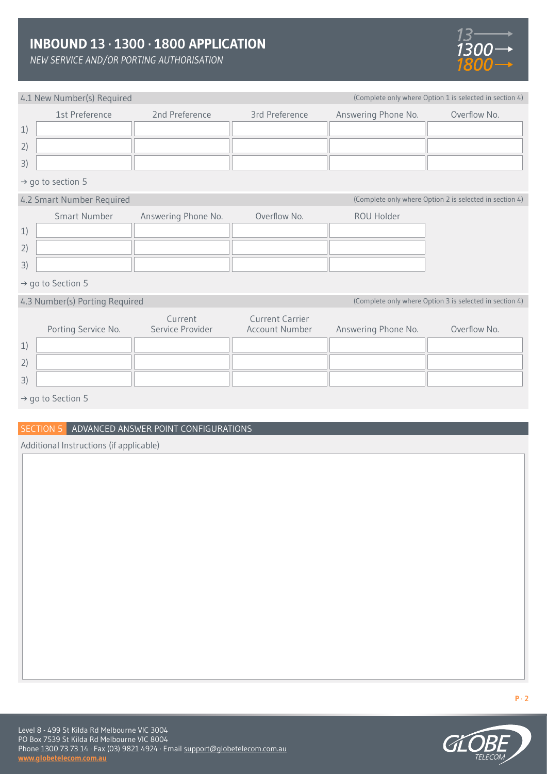*NEW SERVICE AND/OR PORTING AUTHORISATION*

4.1 New Number(s) Required



(Complete only where Option 1 is selected in section 4)

| THE INCIN INCITING (S) INCOMING |                             |                                                 |                     |                                                         |  |
|---------------------------------|-----------------------------|-------------------------------------------------|---------------------|---------------------------------------------------------|--|
| 1st Preference                  | 2nd Preference              | 3rd Preference                                  | Answering Phone No. | Overflow No.                                            |  |
| 1)                              |                             |                                                 |                     |                                                         |  |
| 2)                              |                             |                                                 |                     |                                                         |  |
| 3)                              |                             |                                                 |                     |                                                         |  |
| $\rightarrow$ go to section 5   |                             |                                                 |                     |                                                         |  |
| 4.2 Smart Number Required       |                             |                                                 |                     | (Complete only where Option 2 is selected in section 4) |  |
| <b>Smart Number</b>             | Answering Phone No.         | Overflow No.                                    | ROU Holder          |                                                         |  |
| 1)                              |                             |                                                 |                     |                                                         |  |
| 2)                              |                             |                                                 |                     |                                                         |  |
| 3)                              |                             |                                                 |                     |                                                         |  |
| $\rightarrow$ go to Section 5   |                             |                                                 |                     |                                                         |  |
| 4.3 Number(s) Porting Required  |                             |                                                 |                     | (Complete only where Option 3 is selected in section 4) |  |
| Porting Service No.             | Current<br>Service Provider | <b>Current Carrier</b><br><b>Account Number</b> | Answering Phone No. | Overflow No.                                            |  |
| 1)                              |                             |                                                 |                     |                                                         |  |
| 2)                              |                             |                                                 |                     |                                                         |  |

→ go to Section 5

3)

## SECTION 5 ADVANCED ANSWER POINT CONFIGURATIONS

Additional Instructions (if applicable)

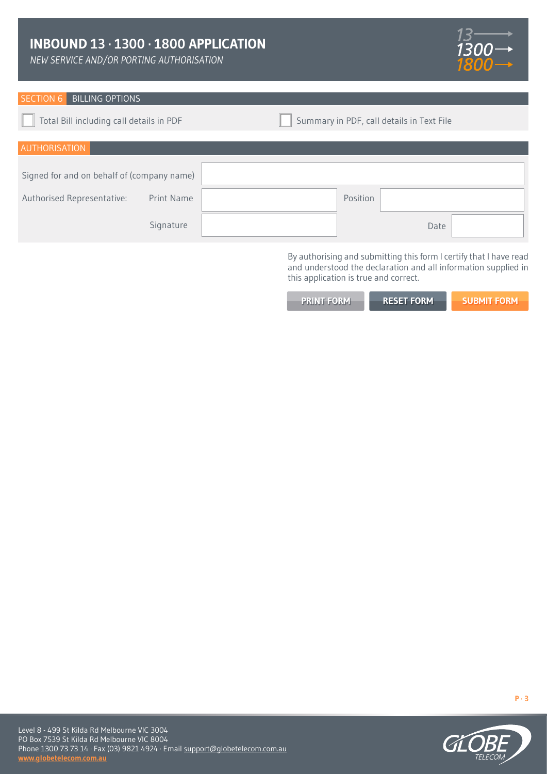*NEW SERVICE AND/OR PORTING AUTHORISATION*



## SECTION 6 BILLING OPTIONS

Total Bill including call details in PDF **Summary in PDF**, call details in Text File

| AUTHORISATION                              |          |  |
|--------------------------------------------|----------|--|
| Signed for and on behalf of (company name) |          |  |
| Authorised Representative:<br>Print Name   | Position |  |
| Signature                                  | Date     |  |

By authorising and submitting this form I certify that I have read and understood the declaration and all information supplied in this application is true and correct.

| <b>PRINT FORM</b> | <b>RESET FORM</b> | 'SUBMIT FORM. |
|-------------------|-------------------|---------------|
|                   |                   |               |